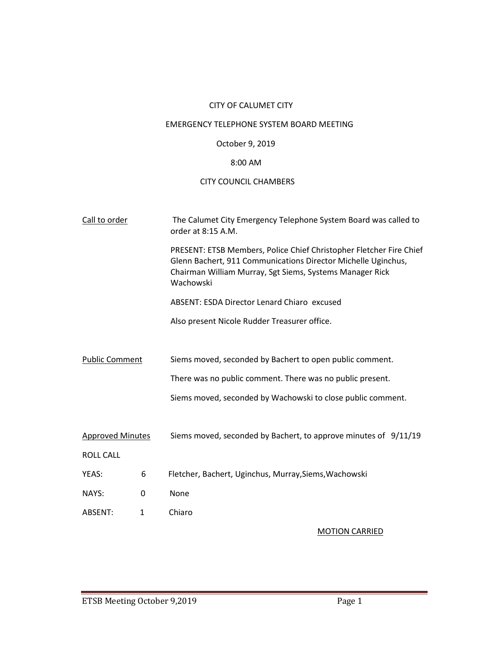# CITY OF CALUMET CITY

# EMERGENCY TELEPHONE SYSTEM BOARD MEETING

### October 9, 2019

# 8:00 AM

# CITY COUNCIL CHAMBERS

| Call to order           |              | The Calumet City Emergency Telephone System Board was called to<br>order at 8:15 A.M.                                                                                                                         |  |
|-------------------------|--------------|---------------------------------------------------------------------------------------------------------------------------------------------------------------------------------------------------------------|--|
|                         |              | PRESENT: ETSB Members, Police Chief Christopher Fletcher Fire Chief<br>Glenn Bachert, 911 Communications Director Michelle Uginchus,<br>Chairman William Murray, Sgt Siems, Systems Manager Rick<br>Wachowski |  |
|                         |              | ABSENT: ESDA Director Lenard Chiaro excused                                                                                                                                                                   |  |
|                         |              | Also present Nicole Rudder Treasurer office.                                                                                                                                                                  |  |
|                         |              |                                                                                                                                                                                                               |  |
| <b>Public Comment</b>   |              | Siems moved, seconded by Bachert to open public comment.                                                                                                                                                      |  |
|                         |              | There was no public comment. There was no public present.                                                                                                                                                     |  |
|                         |              | Siems moved, seconded by Wachowski to close public comment.                                                                                                                                                   |  |
|                         |              |                                                                                                                                                                                                               |  |
| <b>Approved Minutes</b> |              | Siems moved, seconded by Bachert, to approve minutes of 9/11/19                                                                                                                                               |  |
| <b>ROLL CALL</b>        |              |                                                                                                                                                                                                               |  |
| YEAS:                   | 6            | Fletcher, Bachert, Uginchus, Murray, Siems, Wachowski                                                                                                                                                         |  |
| NAYS:                   | $\Omega$     | None                                                                                                                                                                                                          |  |
| ABSENT:                 | $\mathbf{1}$ | Chiaro                                                                                                                                                                                                        |  |
|                         |              | <b>MOTION CARRIED</b>                                                                                                                                                                                         |  |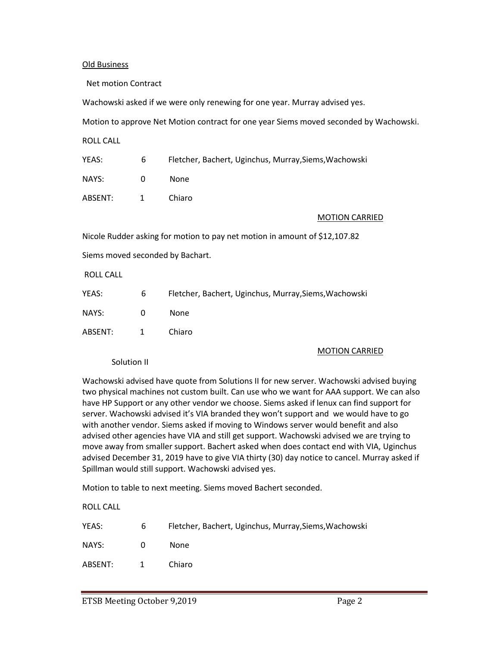### Old Business

Net motion Contract

Wachowski asked if we were only renewing for one year. Murray advised yes.

Motion to approve Net Motion contract for one year Siems moved seconded by Wachowski.

ROLL CALL

| YEAS:   | 6              | Fletcher, Bachert, Uginchus, Murray, Siems, Wachowski |
|---------|----------------|-------------------------------------------------------|
| NAYS:   | $\Omega$       | None.                                                 |
| ABSENT: | $\overline{1}$ | Chiaro                                                |

MOTION CARRIED

Nicole Rudder asking for motion to pay net motion in amount of \$12,107.82

Siems moved seconded by Bachart.

ROLL CALL

| YEAS:     | 6        | Fletcher, Bachert, Uginchus, Murray, Siems, Wachowski |
|-----------|----------|-------------------------------------------------------|
| NAYS:     | $\Omega$ | <b>None</b>                                           |
| ABSENT: 1 |          | Chiaro                                                |

#### MOTION CARRIED

Solution II

Wachowski advised have quote from Solutions II for new server. Wachowski advised buying two physical machines not custom built. Can use who we want for AAA support. We can also have HP Support or any other vendor we choose. Siems asked if lenux can find support for server. Wachowski advised it's VIA branded they won't support and we would have to go with another vendor. Siems asked if moving to Windows server would benefit and also advised other agencies have VIA and still get support. Wachowski advised we are trying to move away from smaller support. Bachert asked when does contact end with VIA, Uginchus advised December 31, 2019 have to give VIA thirty (30) day notice to cancel. Murray asked if Spillman would still support. Wachowski advised yes.

Motion to table to next meeting. Siems moved Bachert seconded.

ROLL CALL

| YEAS:   | 6              | Fletcher, Bachert, Uginchus, Murray, Siems, Wachowski |
|---------|----------------|-------------------------------------------------------|
| NAYS:   | $\Omega$       | None.                                                 |
| ABSENT: | $\overline{1}$ | Chiaro                                                |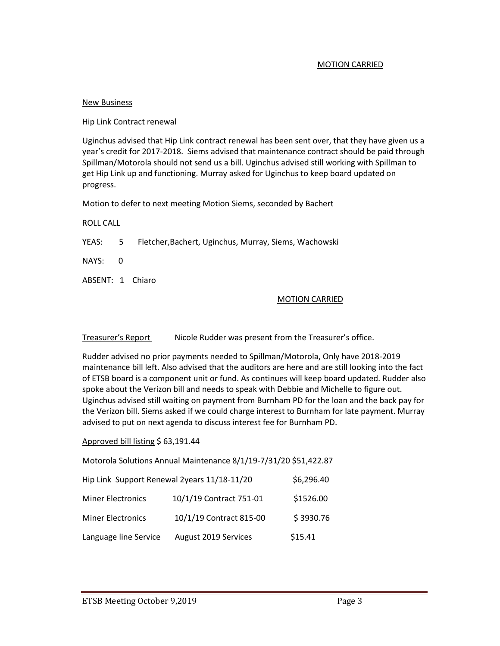## MOTION CARRIED

### New Business

Hip Link Contract renewal

Uginchus advised that Hip Link contract renewal has been sent over, that they have given us a year's credit for 2017-2018. Siems advised that maintenance contract should be paid through Spillman/Motorola should not send us a bill. Uginchus advised still working with Spillman to get Hip Link up and functioning. Murray asked for Uginchus to keep board updated on progress.

Motion to defer to next meeting Motion Siems, seconded by Bachert

ROLL CALL

YEAS: 5 Fletcher,Bachert, Uginchus, Murray, Siems, Wachowski

NAYS: 0

ABSENT: 1 Chiaro

### MOTION CARRIED

Treasurer's Report Nicole Rudder was present from the Treasurer's office.

Rudder advised no prior payments needed to Spillman/Motorola, Only have 2018-2019 maintenance bill left. Also advised that the auditors are here and are still looking into the fact of ETSB board is a component unit or fund. As continues will keep board updated. Rudder also spoke about the Verizon bill and needs to speak with Debbie and Michelle to figure out. Uginchus advised still waiting on payment from Burnham PD for the loan and the back pay for the Verizon bill. Siems asked if we could charge interest to Burnham for late payment. Murray advised to put on next agenda to discuss interest fee for Burnham PD.

### Approved bill listing \$ 63,191.44

Motorola Solutions Annual Maintenance 8/1/19-7/31/20 \$51,422.87

| Hip Link Support Renewal 2years 11/18-11/20 | \$6,296.40              |           |
|---------------------------------------------|-------------------------|-----------|
| <b>Miner Electronics</b>                    | 10/1/19 Contract 751-01 | \$1526.00 |
| <b>Miner Electronics</b>                    | 10/1/19 Contract 815-00 | \$3930.76 |
| Language line Service                       | August 2019 Services    | \$15.41   |